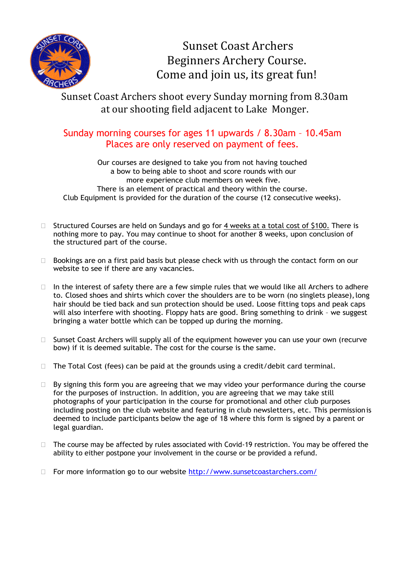

Sunset Coast Archers Beginners Archery Course. Come and join us, its great fun!

## Sunset Coast Archers shoot every Sunday morning from 8.30am at our shooting field adjacent to Lake Monger.

## Sunday morning courses for ages 11 upwards / 8.30am – 10.45am Places are only reserved on payment of fees.

Our courses are designed to take you from not having touched a bow to being able to shoot and score rounds with our more experience club members on week five. There is an element of practical and theory within the course. Club Equipment is provided for the duration of the course (12 consecutive weeks).

- $\Box$  Structured Courses are held on Sundays and go for 4 weeks at a total cost of \$100. There is nothing more to pay. You may continue to shoot for another 8 weeks, upon conclusion of the structured part of the course.
- □ Bookings are on a first paid basis but please check with us through the contact form on our website to see if there are any vacancies.
- $\Box$  In the interest of safety there are a few simple rules that we would like all Archers to adhere to. Closed shoes and shirts which cover the shoulders are to be worn (no singlets please), long hair should be tied back and sun protection should be used. Loose fitting tops and peak caps will also interfere with shooting. Floppy hats are good. Bring something to drink - we suggest bringing a water bottle which can be topped up during the morning.
- $\Box$  Sunset Coast Archers will supply all of the equipment however you can use your own (recurve bow) if it is deemed suitable. The cost for the course is the same.
- $\Box$  The Total Cost (fees) can be paid at the grounds using a credit/debit card terminal.
- $\Box$  By signing this form you are agreeing that we may video your performance during the course for the purposes of instruction. In addition, you are agreeing that we may take still photographs of your participation in the course for promotional and other club purposes including posting on the club website and featuring in club newsletters, etc. This permissionis deemed to include participants below the age of 18 where this form is signed by a parent or legal guardian.
- $\Box$  The course may be affected by rules associated with Covid-19 restriction. You may be offered the ability to either postpone your involvement in the course or be provided a refund.
- □ For more information go to our website <http://www.sunsetcoastarchers.com/>